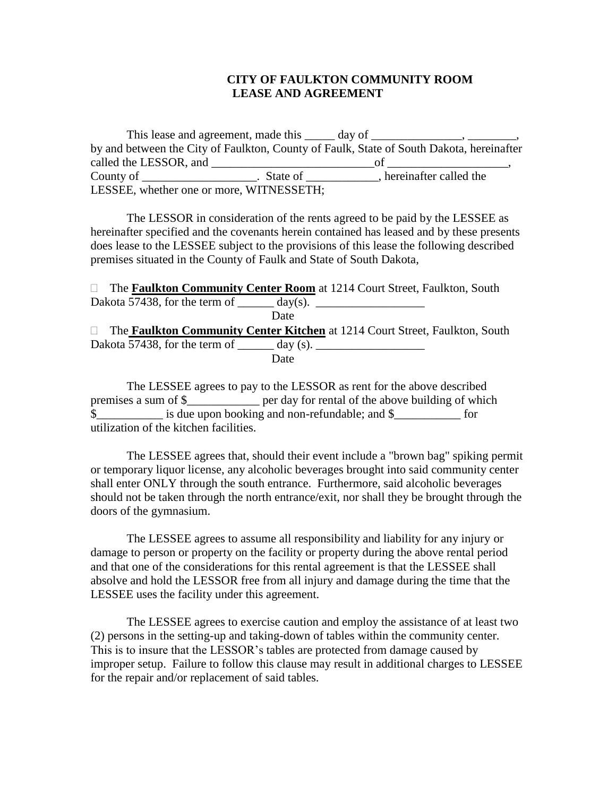## **CITY OF FAULKTON COMMUNITY ROOM LEASE AND AGREEMENT**

This lease and agreement, made this \_\_\_\_\_ day of \_\_\_\_\_\_\_\_\_\_\_\_, \_\_\_\_\_\_\_\_, by and between the City of Faulkton, County of Faulk, State of South Dakota, hereinafter called the LESSOR, and \_\_\_\_\_\_\_\_\_\_\_\_\_\_\_\_\_\_\_\_\_\_\_\_\_\_\_of \_\_\_\_\_\_\_\_\_\_\_\_\_\_\_\_\_\_\_\_, County of \_\_\_\_\_\_\_\_\_\_\_\_\_\_\_\_\_\_\_\_\_. State of \_\_\_\_\_\_\_\_\_\_\_\_, hereinafter called the LESSEE, whether one or more, WITNESSETH;

The LESSOR in consideration of the rents agreed to be paid by the LESSEE as hereinafter specified and the covenants herein contained has leased and by these presents does lease to the LESSEE subject to the provisions of this lease the following described premises situated in the County of Faulk and State of South Dakota,

 The **Faulkton Community Center Room** at 1214 Court Street, Faulkton, South Dakota 57438, for the term of  $\_\_\_\_\_\$  day(s). Date The **Faulkton Community Center Kitchen** at 1214 Court Street, Faulkton, South Dakota  $\overline{57438}$ , for the term of  $\_\_\_\_\_\_\_\$ (s). **Date** 

The LESSEE agrees to pay to the LESSOR as rent for the above described premises a sum of \$\_\_\_\_\_\_\_\_\_\_\_\_ per day for rental of the above building of which \$\_\_\_\_\_\_\_\_\_\_\_ is due upon booking and non-refundable; and \$\_\_\_\_\_\_\_\_\_\_\_ for utilization of the kitchen facilities.

The LESSEE agrees that, should their event include a "brown bag" spiking permit or temporary liquor license, any alcoholic beverages brought into said community center shall enter ONLY through the south entrance. Furthermore, said alcoholic beverages should not be taken through the north entrance/exit, nor shall they be brought through the doors of the gymnasium.

The LESSEE agrees to assume all responsibility and liability for any injury or damage to person or property on the facility or property during the above rental period and that one of the considerations for this rental agreement is that the LESSEE shall absolve and hold the LESSOR free from all injury and damage during the time that the LESSEE uses the facility under this agreement.

The LESSEE agrees to exercise caution and employ the assistance of at least two (2) persons in the setting-up and taking-down of tables within the community center. This is to insure that the LESSOR's tables are protected from damage caused by improper setup. Failure to follow this clause may result in additional charges to LESSEE for the repair and/or replacement of said tables.